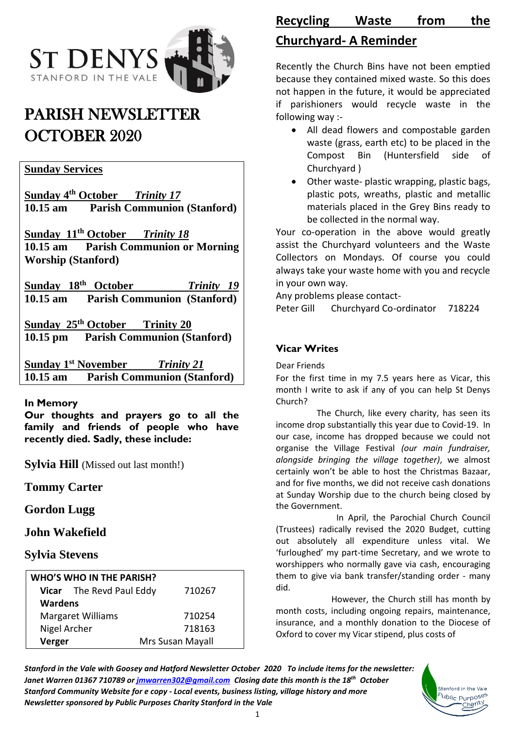

# PARISH NEWSLETTER OCTOBER 2020

#### **Sunday Services**

**Sunday 4 th October** *Trinity 17* **10.15 am Parish Communion (Stanford)**

**Sunday 11 th October** *Trinity 18* **10.15 am Parish Communion or Morning Worship (Stanford)**

**Sunday 18th October** *Trinity 19* **10.15 am Parish Communion (Stanford)**

**Sunday 25 th October Trinity 20 10.15 pm Parish Communion (Stanford)**

**Sunday 1 st November** *Trinity 21* **10.15 am Parish Communion (Stanford)**

#### **In Memory**

**Our thoughts and prayers go to all the family and friends of people who have recently died. Sadly, these include:**

**Sylvia Hill** (Missed out last month!)

## **Tommy Carter**

**Gordon Lugg**

## **John Wakefield**

## **Sylvia Stevens**

| <b>WHO'S WHO IN THE PARISH?</b> |                          |                  |
|---------------------------------|--------------------------|------------------|
|                                 | Vicar The Revd Paul Eddy | 710267           |
| <b>Wardens</b>                  |                          |                  |
| <b>Margaret Williams</b>        |                          | 710254           |
| Nigel Archer                    |                          | 718163           |
| Verger                          |                          | Mrs Susan Mayall |

## **Recycling Waste from the Churchyard- A Reminder**

Recently the Church Bins have not been emptied because they contained mixed waste. So this does not happen in the future, it would be appreciated if parishioners would recycle waste in the following way :-

- All dead flowers and compostable garden waste (grass, earth etc) to be placed in the Compost Bin (Huntersfield side of Churchyard )
- Other waste- plastic wrapping, plastic bags, plastic pots, wreaths, plastic and metallic materials placed in the Grey Bins ready to be collected in the normal way.

Your co-operation in the above would greatly assist the Churchyard volunteers and the Waste Collectors on Mondays. Of course you could always take your waste home with you and recycle in your own way.

Any problems please contact-

Peter Gill Churchyard Co-ordinator 718224

## **Vicar Writes**

Dear Friends

For the first time in my 7.5 years here as Vicar, this month I write to ask if any of you can help St Denys Church?

 The Church, like every charity, has seen its income drop substantially this year due to Covid-19. In our case, income has dropped because we could not organise the Village Festival *(our main fundraiser, alongside bringing the village together)*, we almost certainly won't be able to host the Christmas Bazaar, and for five months, we did not receive cash donations at Sunday Worship due to the church being closed by the Government.

 In April, the Parochial Church Council (Trustees) radically revised the 2020 Budget, cutting out absolutely all expenditure unless vital. We 'furloughed' my part-time Secretary, and we wrote to worshippers who normally gave via cash, encouraging them to give via bank transfer/standing order - many did.

 However, the Church still has month by month costs, including ongoing repairs, maintenance, insurance, and a monthly donation to the Diocese of Oxford to cover my Vicar stipend, plus costs of

> Stanford in the Vale wblic Purpose<sup>s</sup> Charit

*Stanford in the Vale with Goosey and Hatford Newsletter October 2020 To include items for the newsletter: Janet Warren 01367 710789 or [jmwarren302@gmail.com](mailto:jmwarren302@gmail.com) Closing date this month is the 18th October Stanford Community Website for e copy - Local events, business listing, village history and more Newsletter sponsored by Public Purposes Charity Stanford in the Vale*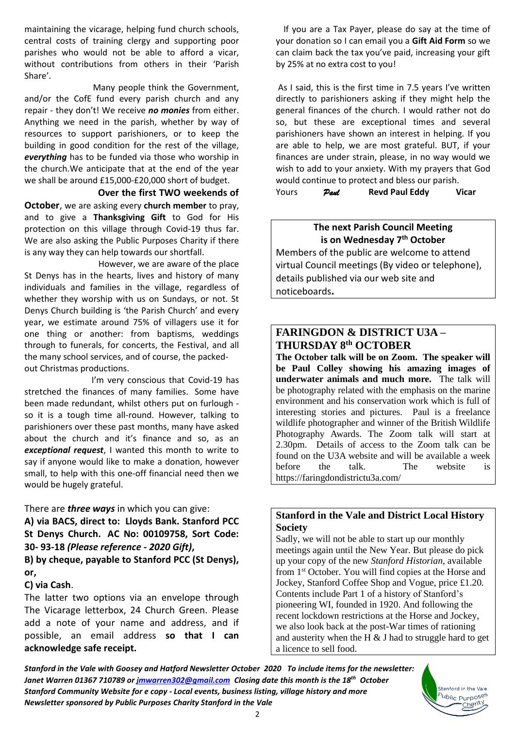maintaining the vicarage, helping fund church schools, central costs of training clergy and supporting poor parishes who would not be able to afford a vicar, without contributions from others in their 'Parish Share'.

 Many people think the Government, and/or the CofE fund every parish church and any repair - they don't! We receive *no monies* from either. Anything we need in the parish, whether by way of resources to support parishioners, or to keep the building in good condition for the rest of the village, *everything* has to be funded via those who worship in the church.We anticipate that at the end of the year we shall be around £15,000-£20,000 short of budget.

#### **Over the first TWO weekends of**

**October**, we are asking every **church member** to pray, and to give a **Thanksgiving Gift** to God for His protection on this village through Covid-19 thus far. We are also asking the Public Purposes Charity if there is any way they can help towards our shortfall.

 However, we are aware of the place St Denys has in the hearts, lives and history of many individuals and families in the village, regardless of whether they worship with us on Sundays, or not. St Denys Church building is 'the Parish Church' and every year, we estimate around 75% of villagers use it for one thing or another: from baptisms, weddings through to funerals, for concerts, the Festival, and all the many school services, and of course, the packedout Christmas productions.

I'm very conscious that Covid-19 has stretched the finances of many families. Some have been made redundant, whilst others put on furlough so it is a tough time all-round. However, talking to parishioners over these past months, many have asked about the church and it's finance and so, as an *exceptional request*, I wanted this month to write to say if anyone would like to make a donation, however small, to help with this one-off financial need then we would be hugely grateful.

There are *three ways* in which you can give:

**A) via BACS, direct to: Lloyds Bank. Stanford PCC St Denys Church. AC No: 00109758, Sort Code: 30- 93-18** *(Please reference - 2020 Gift)***,** 

**B) by cheque, payable to Stanford PCC (St Denys), or,**

#### **C) via Cash**.

The latter two options via an envelope through The Vicarage letterbox, 24 Church Green. Please add a note of your name and address, and if possible, an email address **so that I can acknowledge safe receipt.**

If you are a Tax Payer, please do say at the time of your donation so I can email you a **Gift Aid Form** so we can claim back the tax you've paid, increasing your gift by 25% at no extra cost to you!

As I said, this is the first time in 7.5 years I've written directly to parishioners asking if they might help the general finances of the church. I would rather not do so, but these are exceptional times and several parishioners have shown an interest in helping. If you are able to help, we are most grateful. BUT, if your finances are under strain, please, in no way would we wish to add to your anxiety. With my prayers that God would continue to protect and bless our parish. Yours *Paul* **Revd Paul Eddy****Vicar** 

#### **The next Parish Council Meeting is on Wednesday 7 th October**

Members of the public are welcome to attend virtual Council meetings (By video or telephone), details published via our web site and noticeboards**.**

## **FARINGDON & DISTRICT U3A – THURSDAY 8th OCTOBER**

**The October talk will be on Zoom. The speaker will be Paul Colley showing his amazing images of underwater animals and much more.** The talk will be photography related with the emphasis on the marine environment and his conservation work which is full of interesting stories and pictures. Paul is a freelance wildlife photographer and winner of the British Wildlife Photography Awards. The Zoom talk will start at 2.30pm. Details of access to the Zoom talk can be found on the U3A website and will be available a week before the talk. The website is https://faringdondistrictu3a.com/

#### **Stanford in the Vale and District Local History Society**

Sadly, we will not be able to start up our monthly meetings again until the New Year. But please do pick up your copy of the new *Stanford Historian*, available from 1st October. You will find copies at the Horse and Jockey, Stanford Coffee Shop and Vogue, price £1.20. Contents include Part 1 of a history of Stanford's pioneering WI, founded in 1920. And following the recent lockdown restrictions at the Horse and Jockey, we also look back at the post-War times of rationing and austerity when the H  $\&$  J had to struggle hard to get a licence to sell food.

> Stanford in the Vale <sup>3</sup>ublic Purpo<sup>ses</sup> Charity

*Stanford in the Vale with Goosey and Hatford Newsletter October 2020 To include items for the newsletter: Janet Warren 01367 710789 or [jmwarren302@gmail.com](mailto:jmwarren302@gmail.com) Closing date this month is the 18th October Stanford Community Website for e copy - Local events, business listing, village history and more Newsletter sponsored by Public Purposes Charity Stanford in the Vale*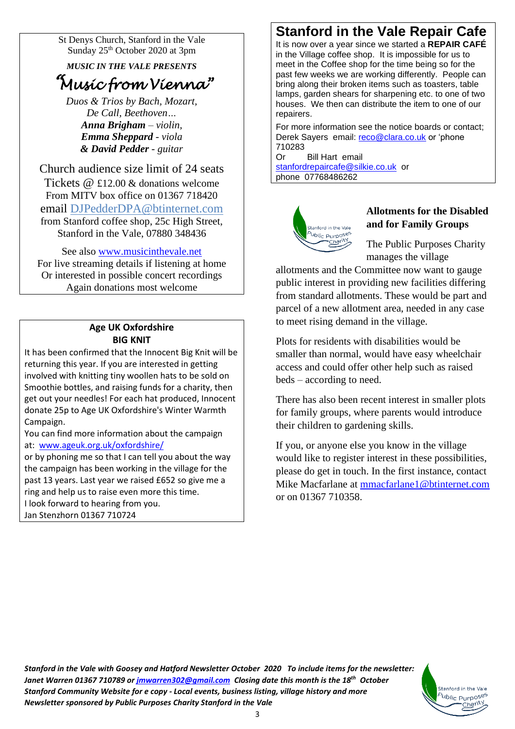St Denys Church, Stanford in the Vale Sunday 25<sup>th</sup> October 2020 at 3pm

*MUSIC IN THE VALE PRESENTS*

# *"Music from Vienna"*

*Duos & Trios by Bach, Mozart, De Call, Beethoven… Anna Brigham – violin, Emma Sheppard - viola & David Pedder - guitar*

Church audience size limit of 24 seats Tickets @ £12.00 & donations welcome From MITV box office on 01367 718420 email [DJPedderDPA@btinternet.com](mailto:DJPedderDPA@btinternet.com) from Stanford coffee shop, 25c High Street, Stanford in the Vale, 07880 348436

See also [www.musicinthevale.net](http://www.musicinthevale.net/) For live streaming details if listening at home Or interested in possible concert recordings Again donations most welcome

#### **Age UK Oxfordshire BIG KNIT**

It has been confirmed that the Innocent Big Knit will be returning this year. If you are interested in getting involved with knitting tiny woollen hats to be sold on Smoothie bottles, and raising funds for a charity, then get out your needles! For each hat produced, Innocent donate 25p to Age UK Oxfordshire's Winter Warmth Campaign.

You can find more information about the campaign at: [www.ageuk.org.uk/oxfordshire/](http://www.ageuk.org.uk/oxfordshire/)

or by phoning me so that I can tell you about the way the campaign has been working in the village for the past 13 years. Last year we raised £652 so give me a ring and help us to raise even more this time. I look forward to hearing from you. Jan Stenzhorn 01367 710724

## **Stanford in the Vale Repair Cafe**

It is now over a year since we started a **REPAIR CAFÉ** in the Village coffee shop. It is impossible for us to meet in the Coffee shop for the time being so for the past few weeks we are working differently. People can bring along their broken items such as toasters, table lamps, garden shears for sharpening etc. to one of two houses. We then can distribute the item to one of our repairers.

For more information see the notice boards or contact; Derek Sayers email: [reco@clara.co.uk](mailto:reco@clara.co.uk) or 'phone 710283

Or Bill Hart email [stanfordrepaircafe@silkie.co.uk](mailto:stanfordrepaircafe@silkie.co.uk) or phone 07768486262



#### **Allotments for the Disabled and for Family Groups**

The Public Purposes Charity manages the village

allotments and the Committee now want to gauge public interest in providing new facilities differing from standard allotments. These would be part and parcel of a new allotment area, needed in any case to meet rising demand in the village.

Plots for residents with disabilities would be smaller than normal, would have easy wheelchair access and could offer other help such as raised beds – according to need.

There has also been recent interest in smaller plots for family groups, where parents would introduce their children to gardening skills.

If you, or anyone else you know in the village would like to register interest in these possibilities, please do get in touch. In the first instance, contact Mike Macfarlane at [mmacfarlane1@btinternet.com](mailto:mmacfarlane1@btinternet.com) or on 01367 710358.

> Stanford in the Vale ublic Purposes Charity